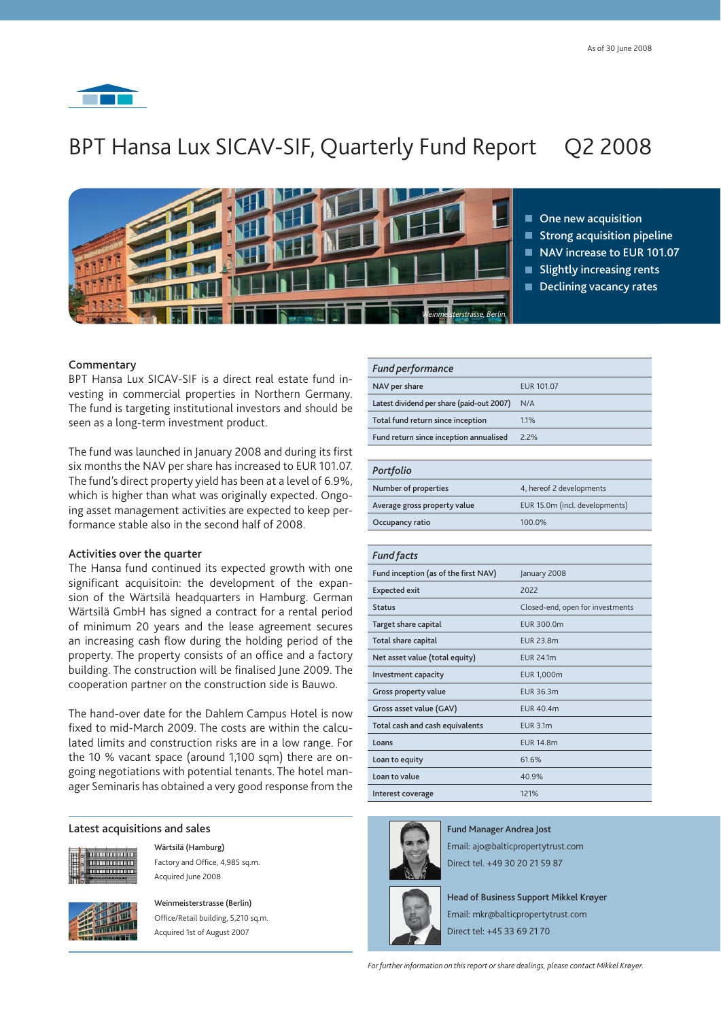

# BPT Hansa Lux SICAV-SIF, Quarterly Fund Report Q2 2008



**One new acquisition**

- **Strong acquisition pipeline**
- **NAV increase to EUR 101.07**
- **Slightly increasing rents**
- **Declining vacancy rates**

## **Commentary**

BPT Hansa Lux SICAV-SIF is a direct real estate fund investing in commercial properties in Northern Germany. The fund is targeting institutional investors and should be seen as a long-term investment product.

The fund was launched in January 2008 and during its first six months the NAV per share has increased to EUR 101.07. The fund's direct property yield has been at a level of 6.9%, which is higher than what was originally expected. Ongoing asset management activities are expected to keep performance stable also in the second half of 2008.

#### **Activities over the quarter**

The Hansa fund continued its expected growth with one significant acquisitoin: the development of the expansion of the Wärtsilä headquarters in Hamburg. German Wärtsilä GmbH has signed a contract for a rental period of minimum 20 years and the lease agreement secures an increasing cash flow during the holding period of the property. The property consists of an office and a factory building. The construction will be finalised June 2009. The cooperation partner on the construction side is Bauwo.

The hand-over date for the Dahlem Campus Hotel is now fixed to mid-March 2009. The costs are within the calculated limits and construction risks are in a low range. For the 10 % vacant space (around 1,100 sqm) there are ongoing negotiations with potential tenants. The hotel manager Seminaris has obtained a very good response from the

#### **Latest acquisitions and sales**



 **Wärtsilä (Hamburg)** Factory and Office, 4,985 sq.m. Acquired June 2008



 **Weinmeisterstrasse (Berlin)** Office/Retail building, 5,210 sq.m.

Acquired 1st of August 2007

| <b>Fund performance</b>                   |                   |
|-------------------------------------------|-------------------|
| NAV per share                             | <b>EUR 101.07</b> |
| Latest dividend per share (paid-out 2007) | N/A               |
| Total fund return since inception         | 1.1%              |
| Fund return since inception annualised    | 2.2%              |
|                                           |                   |

#### *Portfolio*

| , ,,,,,,,                    |                                |
|------------------------------|--------------------------------|
| Number of properties         | 4, hereof 2 developments       |
| Average gross property value | EUR 15.0m (incl. developments) |
| Occupancy ratio              | 100.0%                         |

| <b>Fund facts</b>                    |                                  |
|--------------------------------------|----------------------------------|
| Fund inception (as of the first NAV) | January 2008                     |
| <b>Expected exit</b>                 | 2022                             |
| Status                               | Closed-end, open for investments |
| Target share capital                 | EUR 300.0m                       |
| Total share capital                  | FUR 23 8m                        |
| Net asset value (total equity)       | FUR 241m                         |
| Investment capacity                  | <b>EUR 1,000m</b>                |
| Gross property value                 | <b>EUR 36.3m</b>                 |
| Gross asset value (GAV)              | FUR 40 4m                        |
| Total cash and cash equivalents      | <b>EUR 3.1m</b>                  |
| Loans                                | <b>EUR 14.8m</b>                 |
| Loan to equity                       | 61.6%                            |
| Loan to value                        | 40.9%                            |
| Interest coverage                    | 121%                             |



**Fund Manager Andrea Jost** Email: ajo@balticpropertytrust.com Direct tel. +49 30 20 21 59 87



*For further information on this report or share dealings, please contact Mikkel Krøyer.*